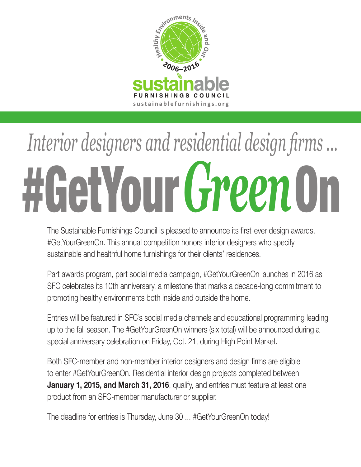

# #GetYour On *Green Interior designers and residential design firms ...*

The Sustainable Furnishings Council is pleased to announce its first-ever design awards, #GetYourGreenOn. This annual competition honors interior designers who specify sustainable and healthful home furnishings for their clients' residences.

Part awards program, part social media campaign, #GetYourGreenOn launches in 2016 as SFC celebrates its 10th anniversary, a milestone that marks a decade-long commitment to promoting healthy environments both inside and outside the home.

Entries will be featured in SFC's social media channels and educational programming leading up to the fall season. The #GetYourGreenOn winners (six total) will be announced during a special anniversary celebration on Friday, Oct. 21, during High Point Market.

Both SFC-member and non-member interior designers and design firms are eligible to enter #GetYourGreenOn. Residential interior design projects completed between **January 1, 2015, and March 31, 2016**, qualify, and entries must feature at least one product from an SFC-member manufacturer or supplier.

The deadline for entries is Thursday, June 30 ... #GetYourGreenOn today!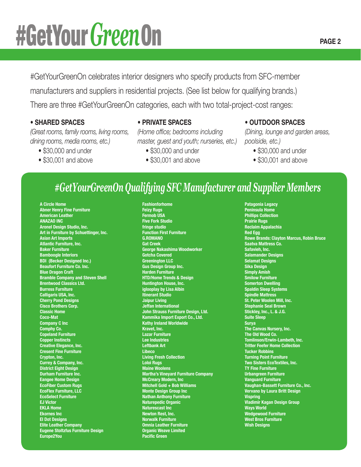#GetYourGreenOn celebrates interior designers who specify products from SFC-member manufacturers and suppliers in residential projects. (See list below for qualifying brands.) There are three #GetYourGreenOn categories, each with two total-project-cost ranges:

#### • **SHARED SPACES**

*(Great rooms, family rooms, living rooms, dining rooms, media rooms, etc.)*

- \$30,000 and under
- \$30,001 and above

• **PRIVATE SPACES**

*(Home office; bedrooms including master, guest and youth; nurseries, etc.)*

- \$30,000 and under
- \$30,001 and above

#### • **OUTDOOR SPACES**

*(Dining, lounge and garden areas, poolside, etc.)*

- \$30,000 and under
- \$30,001 and above

# *#GetYourGreenOn Qualifying SFC Manufacturer and Supplier Members*

**A Circle Home Abner Henry Fine Furniture American Leather ANAZAO INC Aronel Design Studio, Inc. Art in Furniture by Schuettinger, Inc. Asian Art Imports Atlantic Furniture, Inc. Baker Furniture Bamboogle Interiors BDI (Becker Designed Inc.) Beaufort Furniture Co. Inc. Blue Dragon Craft Bramble Company and Steven Shell Brentwood Classics Ltd. Burress Furniture Calligaris USA, Inc. Cherry Pond Designs Cisco Brothers Corp. Classic Home Coco-Mat Company C Inc Comphy Co. Copeland Furniture Copper Instincts Creative Elegance, Inc. Cresent Fine Furniture Crypton, Inc. Currey & Company, Inc. District Eight Design Durham Furniture Inc. Eangee Home Design EcoFiber Custom Rugs EcoFlex Furniture, LLC EcoSelect Furniture EJ Victor EKLA Home Ekornes Inc El Dot Designs Elite Leather Company Eugene Stoltzfus Furniture Design Europe2You**

**Fashionforhome Feizy Rugs Fermob USA Five Fork Studio fringe studio Function First Furniture G.ROMANO Gat Creek George Nakashima Woodworker Gotcha Covered Greenington LLC Gus Design Group Inc. Harden Furniture HTD/Home Trends & Design Huntington House, Inc. iglooplay by Lisa Albin Itinerant Studio Jaipur Living Jeffan International John Strauss Furniture Design, Ltd. Kammika Import Export Co., Ltd. Kathy Ireland Worldwide Kravet, Inc. Lazar Furniture Lee Industries Leftbank Art Libeco Living Fresh Collection Loloi Rugs Maine Woolens Martha's Vineyard Furniture Company McCreary Modern, Inc Mitchell Gold + Bob Williams Monte Design Group Inc Nathan Anthony Furniture Naturepedic Organic Naturescast Inc Newton Rest, Inc. Norwalk Furniture Omnia Leather Furniture Organic Weave Limited Pacific Green**

**Patagonia Legacy Peninsula Home Phillips Collection Prairie Rugs Reclaim Appalachia Red Egg Rowe Brands: Clayton Marcus, Robin Bruce Saatva Mattress Co. Safavieh, Inc. Salamander Designs Selamat Designs Sika Design Simply Amish Smilow Furniture Somerton Dwelling Spaldin Sleep Systems Spindle Mattress St. Peter Woolen Mill, Inc. Stephanie Seal Brown Stickley, Inc., L. & J.G. Suite Sleep Surya The Canvas Nursery, Inc. The Old Wood Co. Tomlinson/Erwin-Lambeth, Inc. Tritter Feefer Home Collection Tucker Robbins Turning Point Furniture Two Sisters EcoTextiles, Inc. TY Fine Furniture Urbangreen Furniture Vanguard Furniture Vaughan-Bassett Furniture Co., Inc. Vervano by Laura Britt Design Vispring Vladimir Kagan Design Group Ways World Wedgewood Furniture West Bros Furniture Wish Designs**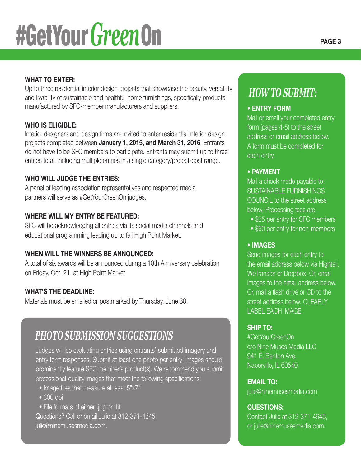# **WHAT TO ENTER:**

Up to three residential interior design projects that showcase the beauty, versatility and livability of sustainable and healthful home furnishings, specifically products manufactured by SFC-member manufacturers and suppliers.

# **WHO IS ELIGIBLE:**

Interior designers and design firms are invited to enter residential interior design projects completed between **January 1, 2015, and March 31, 2016**. Entrants do not have to be SFC members to participate. Entrants may submit up to three entries total, including multiple entries in a single category/project-cost range.

# **WHO WILL JUDGE THE ENTRIES:**

A panel of leading association representatives and respected media partners will serve as #GetYourGreenOn judges.

# **WHERE WILL MY ENTRY BE FEATURED:**

SFC will be acknowledging all entries via its social media channels and educational programming leading up to fall High Point Market.

# **WHEN WILL THE WINNERS BE ANNOUNCED:**

A total of six awards will be announced during a 10th Anniversary celebration on Friday, Oct. 21, at High Point Market.

# **WHAT'S THE DEADLINE:**

Materials must be emailed or postmarked by Thursday, June 30.

# *PHOTO SUBMISSION SUGGESTIONS*

Judges will be evaluating entries using entrants' submitted imagery and entry form responses. Submit at least one photo per entry; images should prominently feature SFC member's product(s). We recommend you submit professional-quality images that meet the following specifications:

- Image files that measure at least 5"x7"
- 300 dpi
- File formats of either .jpg or .tif

Questions? Call or email Julie at 312-371-4645, julie@ninemusesmedia.com.

# *HOW TO SUBMIT:*

### • **ENTRY FORM**

Mail or email your completed entry form (pages 4-5) to the street address or email address below. A form must be completed for each entry.

#### • **PAYMENT**

Mail a check made payable to: SUSTAINABLE FURNISHINGS COUNCIL to the street address below. Processing fees are:

- \$35 per entry for SFC members
- \$50 per entry for non-members

# • **IMAGES**

Send images for each entry to the email address below via Hightail, WeTransfer or Dropbox. Or, email images to the email address below. Or, mail a flash drive or CD to the street address below. CLEARLY LABEL EACH IMAGE.

# **SHIP TO:**

#GetYourGreenOn c/o Nine Muses Media LLC 941 E. Benton Ave. Naperville, IL 60540

# **EMAIL TO:**

julie@ninemusesmedia.com

# **QUESTIONS:**

Contact Julie at 312-371-4645, or julie@ninemusesmedia.com.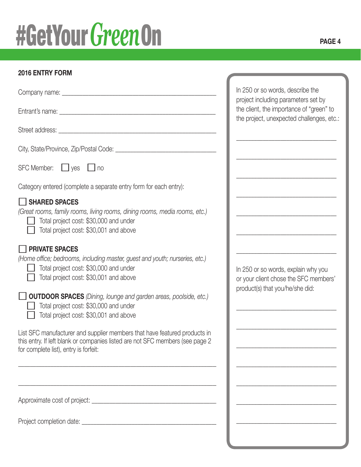# **2016 ENTRY FORM**

|                                                                                                                                                                                                                                                                                                                                                                                                                                                                                                                                                                    | In 250 or so words, describe the                                                                                             |
|--------------------------------------------------------------------------------------------------------------------------------------------------------------------------------------------------------------------------------------------------------------------------------------------------------------------------------------------------------------------------------------------------------------------------------------------------------------------------------------------------------------------------------------------------------------------|------------------------------------------------------------------------------------------------------------------------------|
|                                                                                                                                                                                                                                                                                                                                                                                                                                                                                                                                                                    | project including parameters set by<br>the client, the importance of "green" to<br>the project, unexpected challenges, etc.: |
|                                                                                                                                                                                                                                                                                                                                                                                                                                                                                                                                                                    |                                                                                                                              |
|                                                                                                                                                                                                                                                                                                                                                                                                                                                                                                                                                                    |                                                                                                                              |
| SFC Member: yes no                                                                                                                                                                                                                                                                                                                                                                                                                                                                                                                                                 |                                                                                                                              |
| Category entered (complete a separate entry form for each entry):                                                                                                                                                                                                                                                                                                                                                                                                                                                                                                  |                                                                                                                              |
| SHARED SPACES<br>(Great rooms, family rooms, living rooms, dining rooms, media rooms, etc.)<br>Total project cost: \$30,000 and under<br>Total project cost: \$30,001 and above                                                                                                                                                                                                                                                                                                                                                                                    |                                                                                                                              |
| <b>THE PRIVATE SPACES</b><br>(Home office; bedrooms, including master, guest and youth; nurseries, etc.)<br>Total project cost: \$30,000 and under<br>Total project cost: \$30,001 and above<br><b>OUTDOOR SPACES</b> (Dining, lounge and garden areas, poolside, etc.)<br>Total project cost: \$30,000 and under<br>Total project cost: \$30,001 and above<br>List SFC manufacturer and supplier members that have featured products in<br>this entry. If left blank or companies listed are not SFC members (see page 2<br>for complete list), entry is forfeit: | In 250 or so words, explain why you<br>or your client chose the SFC members'<br>product(s) that you/he/she did:              |
|                                                                                                                                                                                                                                                                                                                                                                                                                                                                                                                                                                    |                                                                                                                              |
|                                                                                                                                                                                                                                                                                                                                                                                                                                                                                                                                                                    |                                                                                                                              |